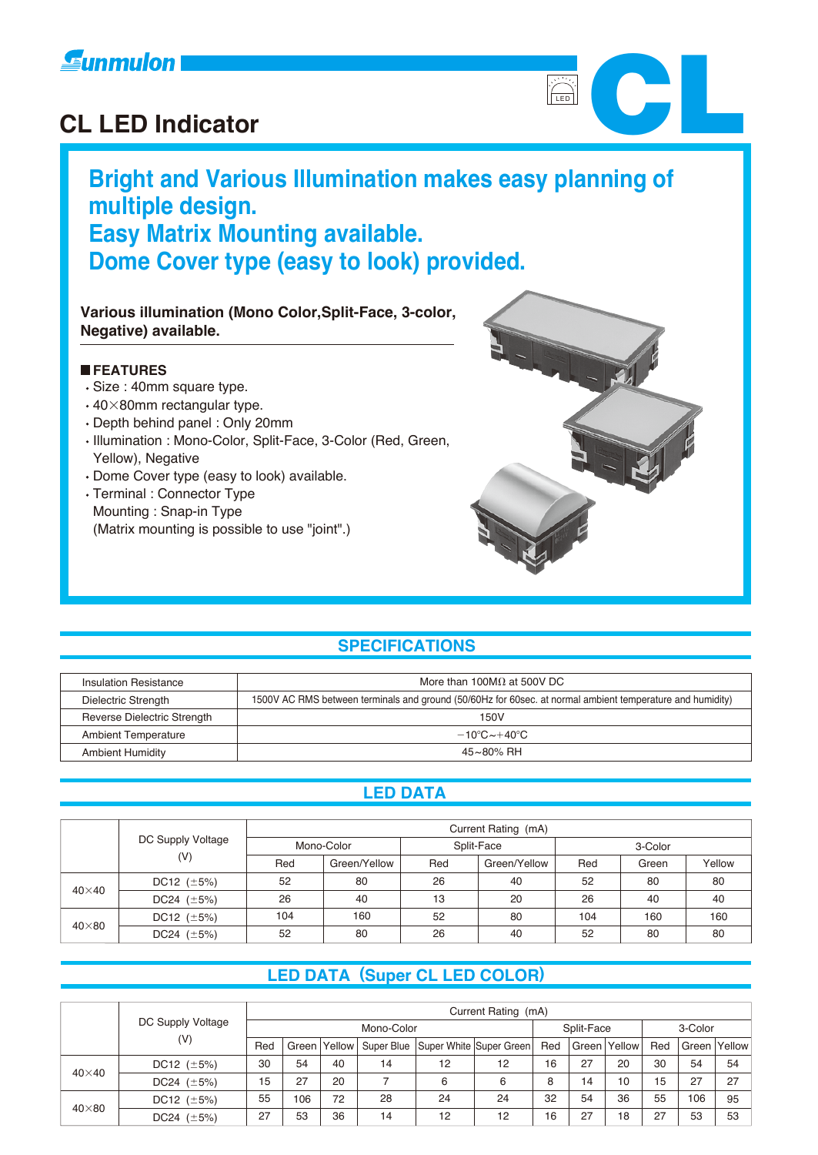

# **CL LED Indicator**<br>CL LED Indicator

# **Bright and Various Illumination makes easy planning of multiple design. Easy Matrix Mounting available. Dome Cover type (easy to look) provided.**

#### **Various illumination (Mono Color,Split-Face, 3-color, Negative) available.**

#### **FEATURES**

- Size : 40mm square type.
- $\cdot$  40 $\times$ 80mm rectangular type.
- Depth behind panel : Only 20mm
- Illumination : Mono-Color, Split-Face, 3-Color (Red, Green, Yellow), Negative
- Dome Cover type (easy to look) available.
- Terminal : Connector Type Mounting : Snap-in Type (Matrix mounting is possible to use "joint".)



**LED** 

#### **SPECIFICATIONS**

| Insulation Resistance              | More than 100M $\Omega$ at 500V DC                                                                        |
|------------------------------------|-----------------------------------------------------------------------------------------------------------|
| Dielectric Strength                | 1500V AC RMS between terminals and ground (50/60Hz for 60sec. at normal ambient temperature and humidity) |
| <b>Reverse Dielectric Strength</b> | 150V                                                                                                      |
| <b>Ambient Temperature</b>         | $-10^{\circ}$ C $\sim$ +40 $^{\circ}$ C                                                                   |
| <b>Ambient Humidity</b>            | 45~80% RH                                                                                                 |

#### **LED DATA**

|              |                   | Current Rating (mA) |     |              |            |         |        |     |  |  |
|--------------|-------------------|---------------------|-----|--------------|------------|---------|--------|-----|--|--|
|              | DC Supply Voltage | Mono-Color          |     |              | Split-Face | 3-Color |        |     |  |  |
| (V)          | Red               | Green/Yellow        | Red | Green/Yellow | Red        | Green   | Yellow |     |  |  |
| $40\times40$ | DC12 $(\pm 5\%)$  | 52                  | 80  | 26           | 40         | 52      | 80     | 80  |  |  |
|              | DC24 $(\pm 5\%)$  | 26                  | 40  | 13           | 20         | 26      | 40     | 40  |  |  |
|              | DC12 $(\pm 5\%)$  | 104                 | 160 | 52           | 80         | 104     | 160    | 160 |  |  |
| $40\times80$ | DC24 $(\pm 5\%)$  | 52                  | 80  | 26           | 40         | 52      | 80     | 80  |  |  |

#### **LED DATA (Super CL LED COLOR)**

|              | Current Rating (mA) |     |            |        |            |    |                         |            |    |                |         |     |              |
|--------------|---------------------|-----|------------|--------|------------|----|-------------------------|------------|----|----------------|---------|-----|--------------|
|              | DC Supply Voltage   |     | Mono-Color |        |            |    |                         | Split-Face |    |                | 3-Color |     |              |
|              | (V)                 | Red | Green l    | Yellow | Super Blue |    | Super White Super Green | Red        |    | Green   Yellow | Red     |     | Green Yellow |
| $40\times40$ | DC12 $(\pm 5\%)$    | 30  | 54         | 40     | 14         | 12 | 12                      | 16         | 27 | 20             | 30      | 54  | 54           |
|              | DC24 $(\pm 5\%)$    | 15  | 27         | 20     |            | 6  | 6                       | 8          | 14 | 10             | 15      | 27  | 27           |
|              | DC12 $(\pm 5\%)$    | 55  | 106        | 72     | 28         | 24 | 24                      | 32         | 54 | 36             | 55      | 106 | 95           |
| $40\times80$ | DC24 $(\pm 5\%)$    | 27  | 53         | 36     | 14         | 12 | 12                      | 16         | 27 | 18             | -27     | 53  | 53           |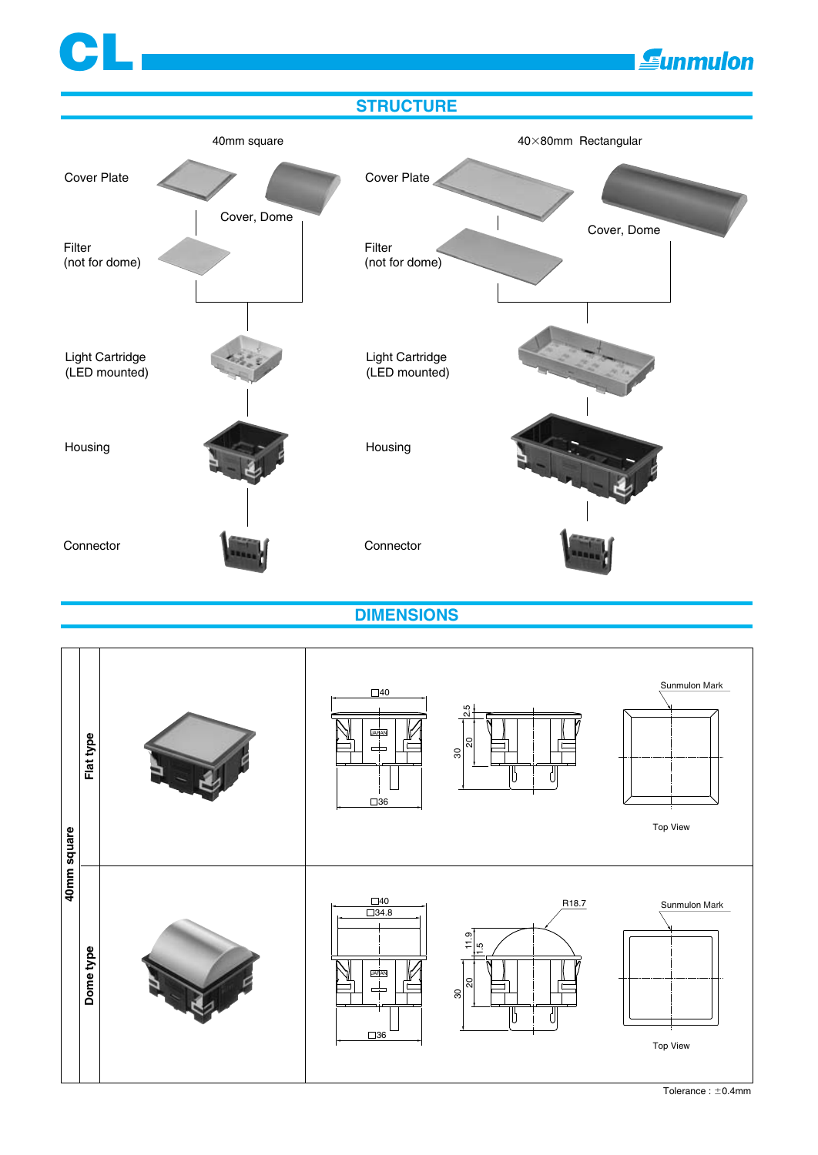

**DIMENSIONS**

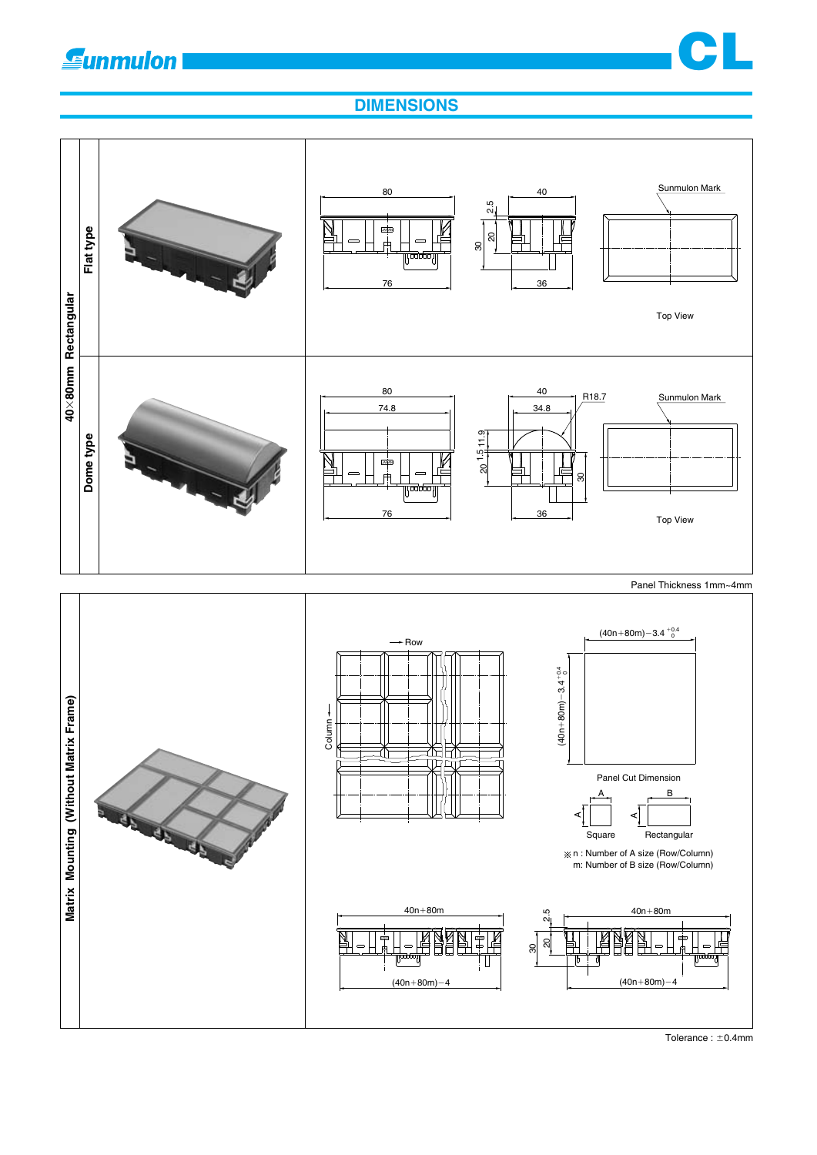# **Gunmulon**



### **DIMENSIONS**

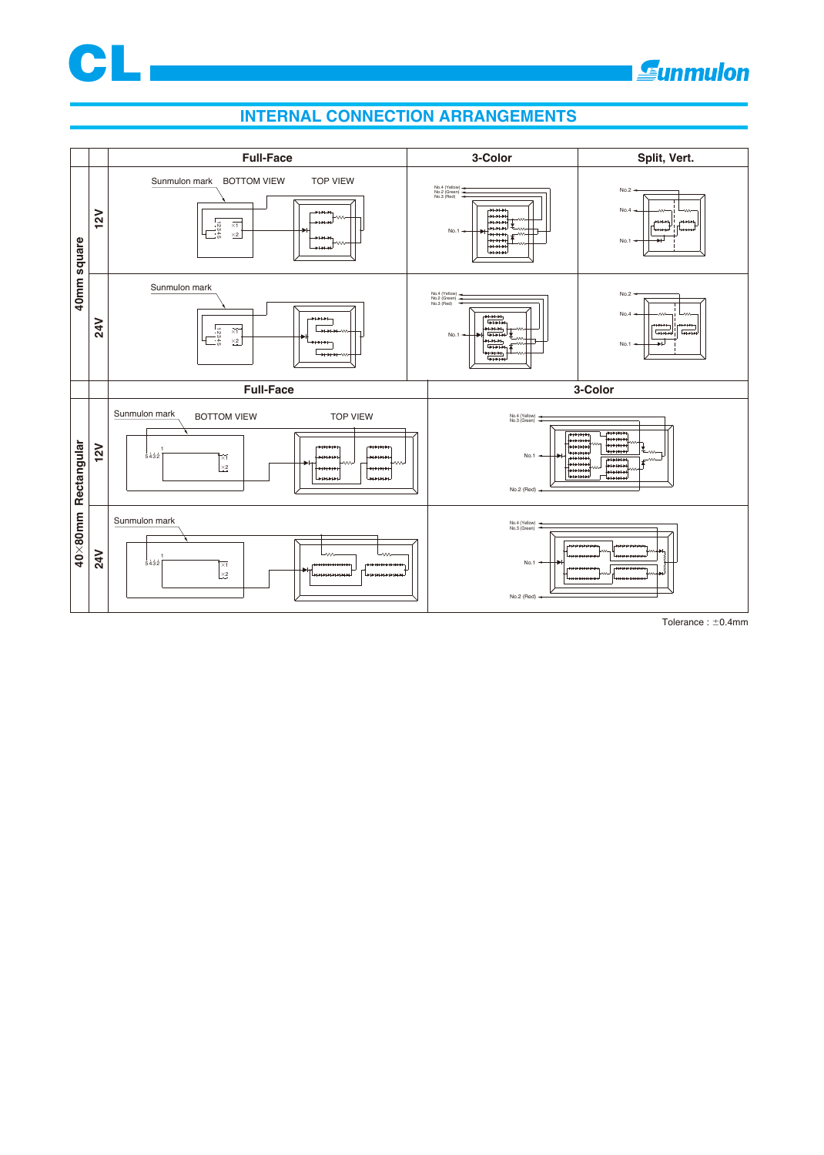

#### **INTERNAL CONNECTION ARRANGEMENTS**

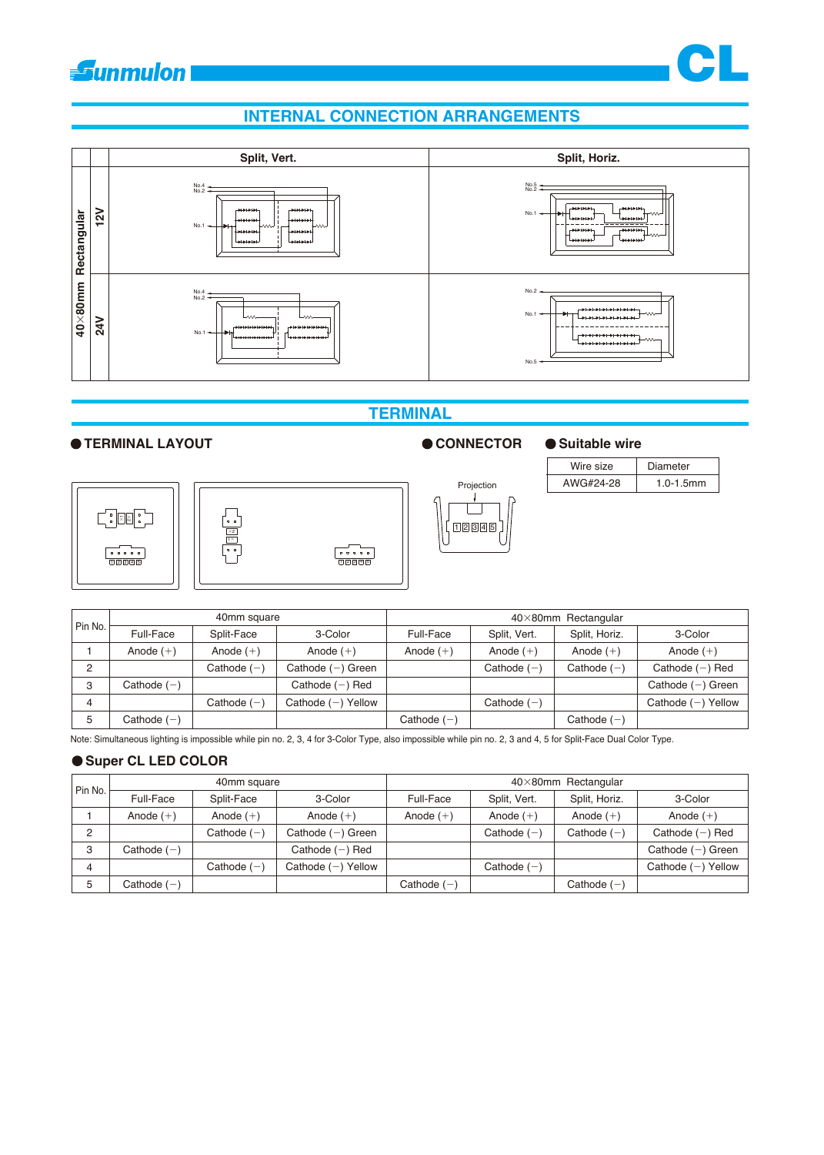

#### **INTERNAL CONNECTION ARRANGEMENTS**



#### **TERMINAL**

#### ● TERMINAL LAYOUT **CONNECTOR** ● Suitable wire









| Wire size | Diameter    |
|-----------|-------------|
| AWG#24-28 | $10-1.5$ mm |

CL

| _____       |                  |              |                             |    |
|-------------|------------------|--------------|-----------------------------|----|
|             |                  |              |                             |    |
|             |                  |              | $40\times80$ mm Rectangular |    |
| 3-Color     | <b>Full-Face</b> | Split, Vert. | Split, Horiz.               | 3  |
| Anode $(+)$ | Anode $(+)$      | Anode $(+)$  | Anode $(+)$                 | An |
|             |                  |              |                             |    |

|                |               | 40mm square   |                      | $40\times80$ mm Rectangular |               |               |                      |  |
|----------------|---------------|---------------|----------------------|-----------------------------|---------------|---------------|----------------------|--|
| Pin No.        | Full-Face     | Split-Face    | 3-Color              | Full-Face                   | Split, Vert.  | Split, Horiz. | 3-Color              |  |
|                | Anode $(+)$   | Anode $(+)$   | Anode $(+)$          | Anode $(+)$                 | Anode $(+)$   | Anode $(+)$   | Anode $(+)$          |  |
| $\overline{2}$ |               | Cathode $(-)$ | Cathode $(-)$ Green  |                             | Cathode $(-)$ | Cathode $(-)$ | Cathode $(-)$ Red    |  |
| 3              | Cathode $(-)$ |               | Cathode $(-)$ Red    |                             |               |               | Cathode $(-)$ Green  |  |
| 4              |               | Cathode $(-)$ | Cathode $(-)$ Yellow |                             | Cathode $(-)$ |               | Cathode $(-)$ Yellow |  |
| 5              | Cathode $(-)$ |               |                      | Cathode $(-)$               |               | Cathode $(-)$ |                      |  |

Note: Simultaneous lighting is impossible while pin no. 2, 3, 4 for 3-Color Type, also impossible while pin no. 2, 3 and 4, 5 for Split-Face Dual Color Type.

#### **Super CL LED COLOR**

|         |               | 40mm square   |                      | $40\times80$ mm Rectangular |               |               |                      |  |
|---------|---------------|---------------|----------------------|-----------------------------|---------------|---------------|----------------------|--|
| Pin No. | Full-Face     | Split-Face    | 3-Color              | Full-Face                   | Split, Vert.  | Split, Horiz. | 3-Color              |  |
|         | Anode $(+)$   | Anode $(+)$   | Anode $(+)$          | Anode $(+)$                 | Anode $(+)$   | Anode $(+)$   | Anode $(+)$          |  |
| C       |               | Cathode $(-)$ | Cathode $(-)$ Green  |                             | Cathode $(-)$ | Cathode $(-)$ | Cathode $(-)$ Red    |  |
| ີ       | Cathode $(-)$ |               | Cathode $(-)$ Red    |                             |               |               | Cathode $(-)$ Green  |  |
| 4       |               | Cathode $(-)$ | Cathode $(-)$ Yellow |                             | Cathode $(-)$ |               | Cathode $(-)$ Yellow |  |
| 5       | Cathode $(-)$ |               |                      | Cathode $(-)$               |               | Cathode $(-)$ |                      |  |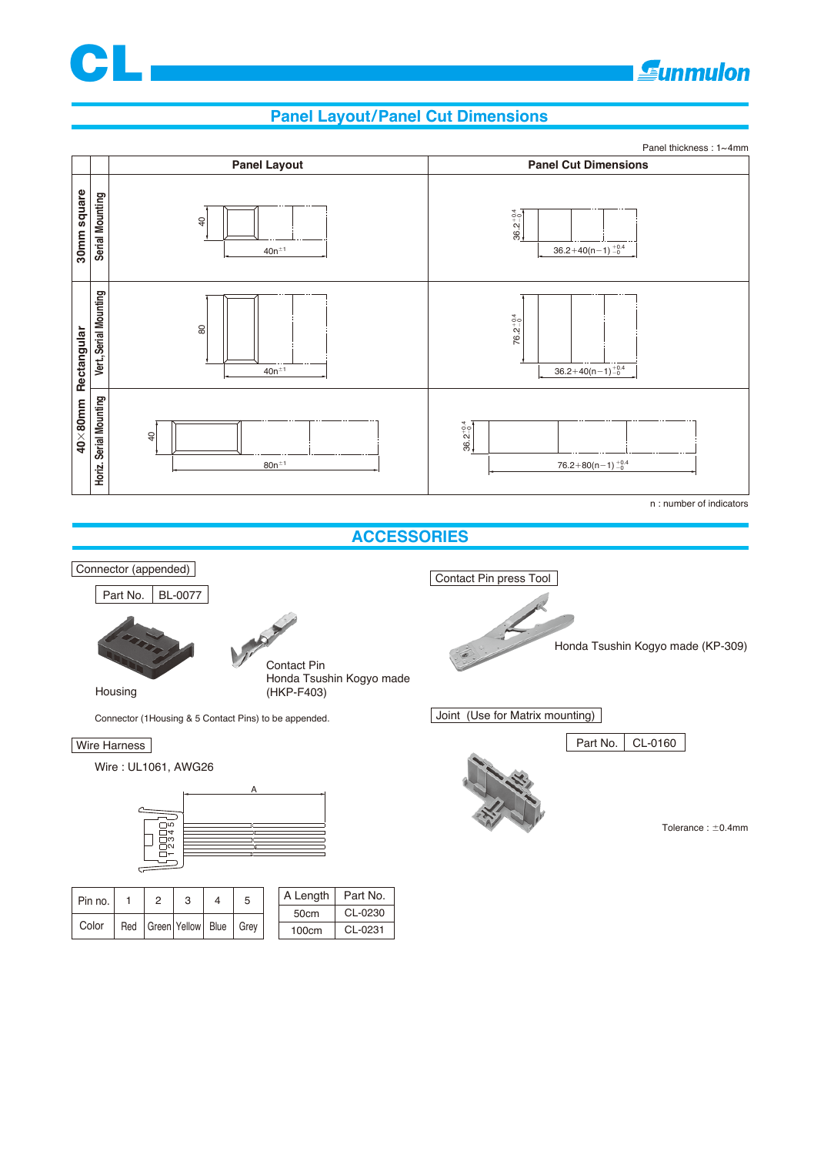

## **Gunmulon**

#### **Panel Layout/Panel Cut Dimensions**





| Pin no. |     |                       | 5    | A Length   Part No. |         |
|---------|-----|-----------------------|------|---------------------|---------|
|         |     |                       |      | 50cm                | CL-0230 |
| Color   | Red | Green   Yellow   Blue | Grev | 100cm               | CL-0231 |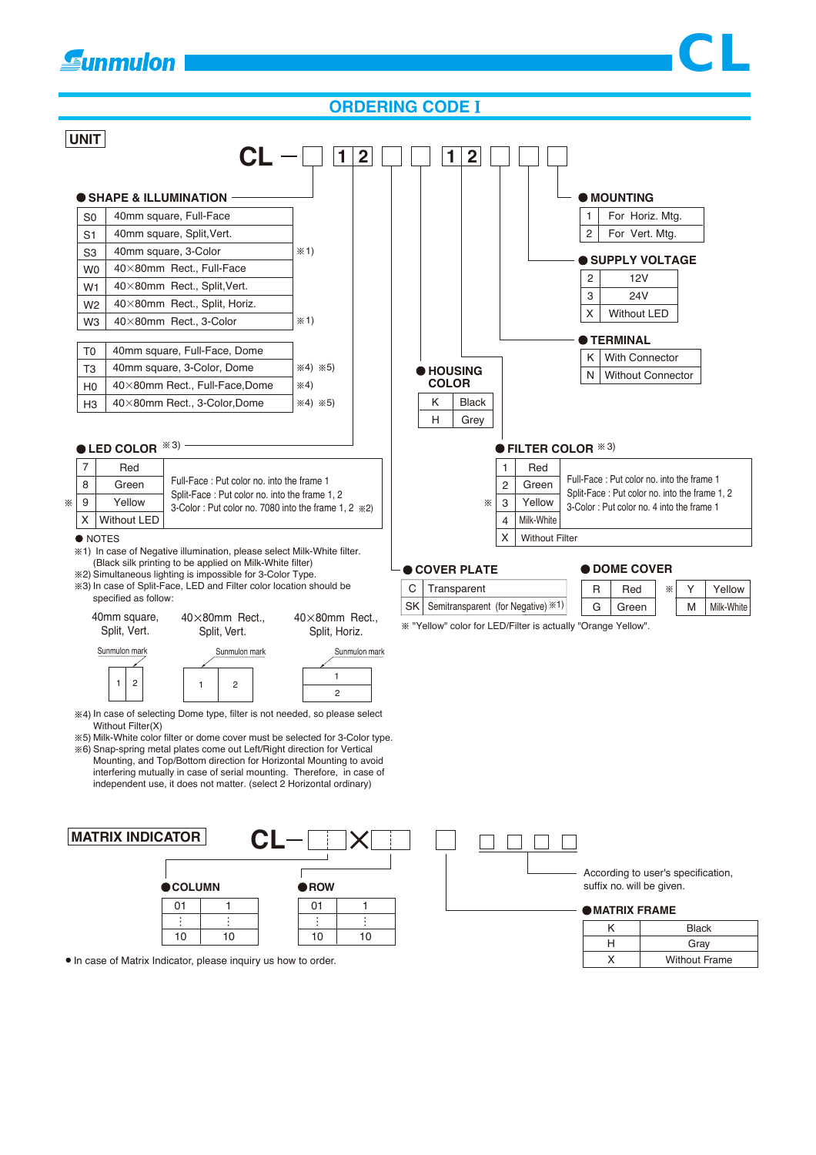# **E**unmulon

#### **ORDERING CODE**